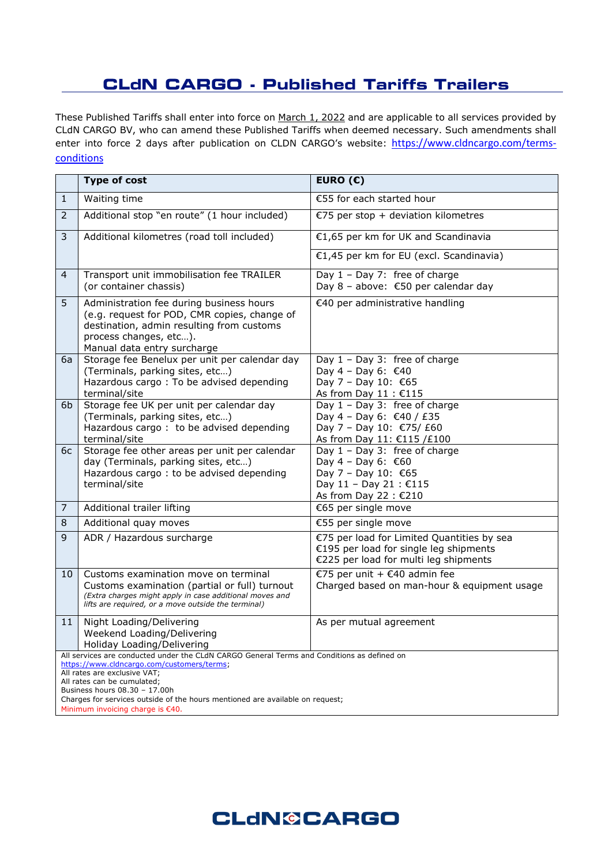## **CLdN CARGO - Published Tariffs Trailers**

These Published Tariffs shall enter into force on March 1, 2022 and are applicable to all services provided by CLdN CARGO BV, who can amend these Published Tariffs when deemed necessary. Such amendments shall enter into force 2 days after publication on CLDN CARGO's website: [https://www.cldncargo.com/terms](https://www.cldncargo.com/terms-conditions)[conditions](https://www.cldncargo.com/terms-conditions)

|                                                                                                                                                                                                                                                                                                                                                               | <b>Type of cost</b>                                                                                                                                                                                     | EURO $(E)$                                                                                                                       |
|---------------------------------------------------------------------------------------------------------------------------------------------------------------------------------------------------------------------------------------------------------------------------------------------------------------------------------------------------------------|---------------------------------------------------------------------------------------------------------------------------------------------------------------------------------------------------------|----------------------------------------------------------------------------------------------------------------------------------|
| $\mathbf{1}$                                                                                                                                                                                                                                                                                                                                                  | Waiting time                                                                                                                                                                                            | €55 for each started hour                                                                                                        |
| $\overline{2}$                                                                                                                                                                                                                                                                                                                                                | Additional stop "en route" (1 hour included)                                                                                                                                                            | €75 per stop + deviation kilometres                                                                                              |
| 3                                                                                                                                                                                                                                                                                                                                                             | Additional kilometres (road toll included)                                                                                                                                                              | €1,65 per km for UK and Scandinavia                                                                                              |
|                                                                                                                                                                                                                                                                                                                                                               |                                                                                                                                                                                                         | €1,45 per km for EU (excl. Scandinavia)                                                                                          |
| 4                                                                                                                                                                                                                                                                                                                                                             | Transport unit immobilisation fee TRAILER<br>(or container chassis)                                                                                                                                     | Day 1 - Day 7: free of charge<br>Day 8 - above: $\epsilon$ 50 per calendar day                                                   |
| 5                                                                                                                                                                                                                                                                                                                                                             | Administration fee during business hours<br>(e.g. request for POD, CMR copies, change of<br>destination, admin resulting from customs<br>process changes, etc).<br>Manual data entry surcharge          | €40 per administrative handling                                                                                                  |
| 6a                                                                                                                                                                                                                                                                                                                                                            | Storage fee Benelux per unit per calendar day<br>(Terminals, parking sites, etc)<br>Hazardous cargo: To be advised depending<br>terminal/site                                                           | Day $1 - Day 3$ : free of charge<br>Day 4 - Day 6: €40<br>Day 7 - Day 10: €65<br>As from Day 11 : €115                           |
| 6 <sub>b</sub>                                                                                                                                                                                                                                                                                                                                                | Storage fee UK per unit per calendar day<br>(Terminals, parking sites, etc)<br>Hazardous cargo: to be advised depending<br>terminal/site                                                                | Day 1 - Day 3: free of charge<br>Day 4 - Day 6: €40 / £35<br>Day 7 - Day 10: €75/ £60<br>As from Day 11: €115 /£100              |
| 6с                                                                                                                                                                                                                                                                                                                                                            | Storage fee other areas per unit per calendar<br>day (Terminals, parking sites, etc)<br>Hazardous cargo: to be advised depending<br>terminal/site                                                       | Day $1 - Day 3$ : free of charge<br>Day 4 - Day 6: €60<br>Day 7 - Day 10: €65<br>Day 11 - Day 21 : €115<br>As from Day 22 : €210 |
| 7                                                                                                                                                                                                                                                                                                                                                             | Additional trailer lifting                                                                                                                                                                              | €65 per single move                                                                                                              |
| 8                                                                                                                                                                                                                                                                                                                                                             | Additional quay moves                                                                                                                                                                                   | €55 per single move                                                                                                              |
| 9                                                                                                                                                                                                                                                                                                                                                             | ADR / Hazardous surcharge                                                                                                                                                                               | €75 per load for Limited Quantities by sea<br>€195 per load for single leg shipments<br>€225 per load for multi leg shipments    |
| 10                                                                                                                                                                                                                                                                                                                                                            | Customs examination move on terminal<br>Customs examination (partial or full) turnout<br>(Extra charges might apply in case additional moves and<br>lifts are required, or a move outside the terminal) | €75 per unit + €40 admin fee<br>Charged based on man-hour & equipment usage                                                      |
| 11                                                                                                                                                                                                                                                                                                                                                            | Night Loading/Delivering<br>Weekend Loading/Delivering<br>Holiday Loading/Delivering                                                                                                                    | As per mutual agreement                                                                                                          |
| All services are conducted under the CLdN CARGO General Terms and Conditions as defined on<br>https://www.cldncargo.com/customers/terms;<br>All rates are exclusive VAT;<br>All rates can be cumulated;<br>Business hours 08.30 - 17.00h<br>Charges for services outside of the hours mentioned are available on request;<br>Minimum invoicing charge is €40. |                                                                                                                                                                                                         |                                                                                                                                  |

## **CLdN©CARGO**